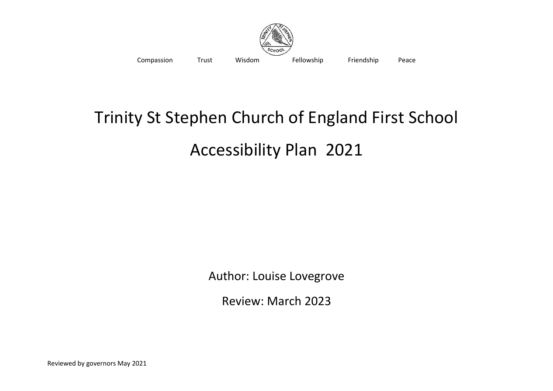

Compassion Trust Wisdom Fellowship Friendship Peace

## Trinity St Stephen Church of England First School Accessibility Plan 2021

Author: Louise Lovegrove

Review: March 2023

Reviewed by governors May 2021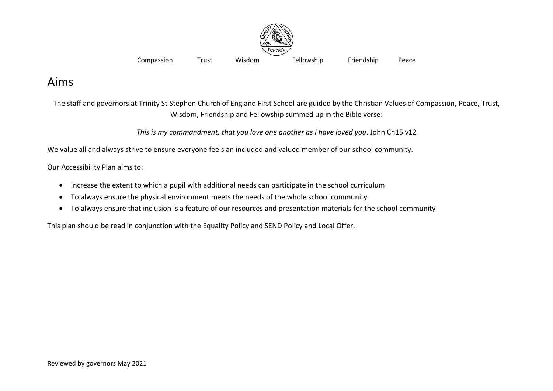

Compassion Trust Wisdom Fellowship Friendship Peace

## Aims

The staff and governors at Trinity St Stephen Church of England First School are guided by the Christian Values of Compassion, Peace, Trust, Wisdom, Friendship and Fellowship summed up in the Bible verse:

*This is my commandment, that you love one another as I have loved you*. John Ch15 v12

We value all and always strive to ensure everyone feels an included and valued member of our school community.

Our Accessibility Plan aims to:

- Increase the extent to which a pupil with additional needs can participate in the school curriculum
- To always ensure the physical environment meets the needs of the whole school community
- To always ensure that inclusion is a feature of our resources and presentation materials for the school community

This plan should be read in conjunction with the Equality Policy and SEND Policy and Local Offer.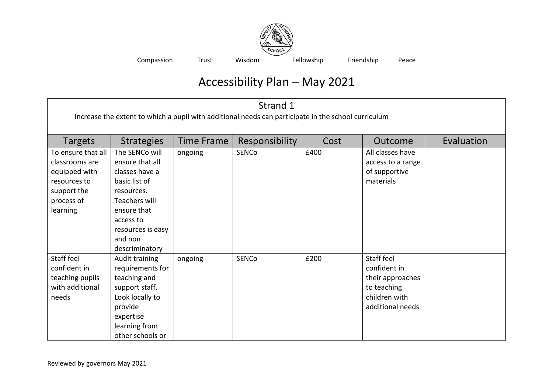

Compassion Trust Wisdom Fellowship Friendship Peace

## Accessibility Plan – May 2021

| Strand 1<br>Increase the extent to which a pupil with additional needs can participate in the school curriculum |                                                                                                                                                                                          |                   |                |      |                                                                                                    |            |
|-----------------------------------------------------------------------------------------------------------------|------------------------------------------------------------------------------------------------------------------------------------------------------------------------------------------|-------------------|----------------|------|----------------------------------------------------------------------------------------------------|------------|
| <b>Targets</b>                                                                                                  | <b>Strategies</b>                                                                                                                                                                        | <b>Time Frame</b> | Responsibility | Cost | Outcome                                                                                            | Evaluation |
| To ensure that all<br>classrooms are<br>equipped with<br>resources to<br>support the<br>process of<br>learning  | The SENCo will<br>ensure that all<br>classes have a<br>basic list of<br>resources.<br><b>Teachers will</b><br>ensure that<br>access to<br>resources is easy<br>and non<br>descriminatory | ongoing           | SENCo          | £400 | All classes have<br>access to a range<br>of supportive<br>materials                                |            |
| Staff feel<br>confident in<br>teaching pupils<br>with additional<br>needs                                       | Audit training<br>requirements for<br>teaching and<br>support staff.<br>Look locally to<br>provide<br>expertise<br>learning from<br>other schools or                                     | ongoing           | <b>SENCo</b>   | £200 | Staff feel<br>confident in<br>their approaches<br>to teaching<br>children with<br>additional needs |            |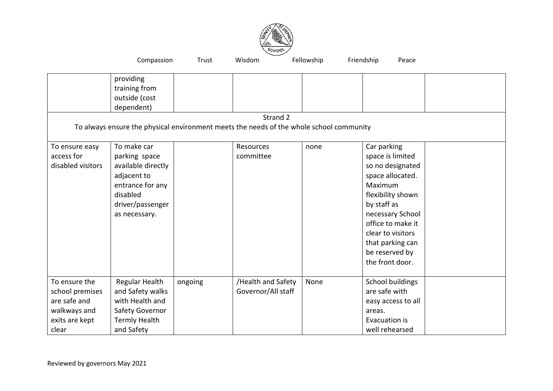

|                                                                                             | Compassion                                                                                                                             | Trust   | Wisdom                                                                                              | Fellowship | Friendship<br>Peace                                                                                                                                                                                                                           |  |
|---------------------------------------------------------------------------------------------|----------------------------------------------------------------------------------------------------------------------------------------|---------|-----------------------------------------------------------------------------------------------------|------------|-----------------------------------------------------------------------------------------------------------------------------------------------------------------------------------------------------------------------------------------------|--|
|                                                                                             | providing<br>training from<br>outside (cost<br>dependent)                                                                              |         | Strand 2<br>To always ensure the physical environment meets the needs of the whole school community |            |                                                                                                                                                                                                                                               |  |
| To ensure easy<br>access for<br>disabled visitors                                           | To make car<br>parking space<br>available directly<br>adjacent to<br>entrance for any<br>disabled<br>driver/passenger<br>as necessary. |         | Resources<br>committee                                                                              | none       | Car parking<br>space is limited<br>so no designated<br>space allocated.<br>Maximum<br>flexibility shown<br>by staff as<br>necessary School<br>office to make it<br>clear to visitors<br>that parking can<br>be reserved by<br>the front door. |  |
| To ensure the<br>school premises<br>are safe and<br>walkways and<br>exits are kept<br>clear | Regular Health<br>and Safety walks<br>with Health and<br>Safety Governor<br><b>Termly Health</b><br>and Safety                         | ongoing | /Health and Safety<br>Governor/All staff                                                            | None       | School buildings<br>are safe with<br>easy access to all<br>areas.<br>Evacuation is<br>well rehearsed                                                                                                                                          |  |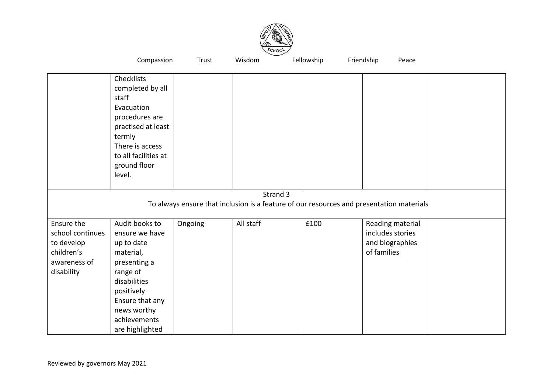

|                                                                                          | Compassion                                                                                                                                                                                 | Trust   | Wisdom    | Fellowship | Friendship<br>Peace                                                    |  |  |  |
|------------------------------------------------------------------------------------------|--------------------------------------------------------------------------------------------------------------------------------------------------------------------------------------------|---------|-----------|------------|------------------------------------------------------------------------|--|--|--|
|                                                                                          | Checklists<br>completed by all<br>staff<br>Evacuation<br>procedures are<br>practised at least<br>termly<br>There is access<br>to all facilities at<br>ground floor<br>level.               |         |           |            |                                                                        |  |  |  |
|                                                                                          |                                                                                                                                                                                            |         | Strand 3  |            |                                                                        |  |  |  |
| To always ensure that inclusion is a feature of our resources and presentation materials |                                                                                                                                                                                            |         |           |            |                                                                        |  |  |  |
| Ensure the<br>school continues<br>to develop<br>children's<br>awareness of<br>disability | Audit books to<br>ensure we have<br>up to date<br>material,<br>presenting a<br>range of<br>disabilities<br>positively<br>Ensure that any<br>news worthy<br>achievements<br>are highlighted | Ongoing | All staff | £100       | Reading material<br>includes stories<br>and biographies<br>of families |  |  |  |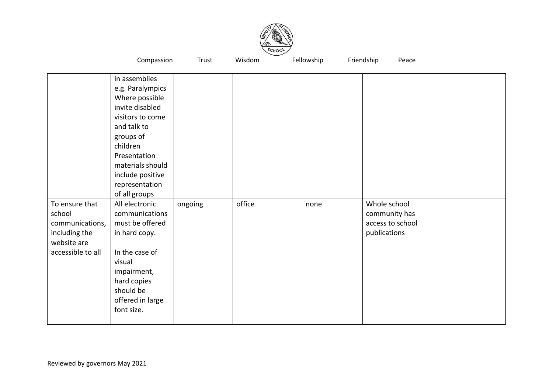

|                                                                                                  | Compassion                                                                                                                                                                                                                                                                                                                                                                                                     | Trust   | Wisdom | Fellowship | Friendship<br>Peace                                               |  |
|--------------------------------------------------------------------------------------------------|----------------------------------------------------------------------------------------------------------------------------------------------------------------------------------------------------------------------------------------------------------------------------------------------------------------------------------------------------------------------------------------------------------------|---------|--------|------------|-------------------------------------------------------------------|--|
| To ensure that<br>school<br>communications,<br>including the<br>website are<br>accessible to all | in assemblies<br>e.g. Paralympics<br>Where possible<br>invite disabled<br>visitors to come<br>and talk to<br>groups of<br>children<br>Presentation<br>materials should<br>include positive<br>representation<br>of all groups<br>All electronic<br>communications<br>must be offered<br>in hard copy.<br>In the case of<br>visual<br>impairment,<br>hard copies<br>should be<br>offered in large<br>font size. | ongoing | office | none       | Whole school<br>community has<br>access to school<br>publications |  |